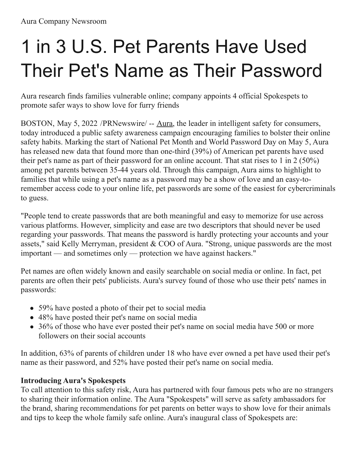# 1 in 3 U.S. Pet Parents Have Used Their Pet's Name as Their Password

Aura research finds families vulnerable online; company appoints 4 official Spokespets to promote safer ways to show love for furry friends

BOSTON, May 5, 2022 /[PRNewswire](http://www.prnewswire.com/)/ -- [Aura](https://c212.net/c/link/?t=0&l=en&o=3526292-1&h=3276071841&u=http%3A%2F%2Fwww.aura.com%2F&a=Aura), the leader in intelligent safety for consumers, today introduced a public safety awareness campaign encouraging families to bolster their online safety habits. Marking the start of National Pet Month and World Password Day on May 5, Aura has released new data that found more than one-third (39%) of American pet parents have used their pet's name as part of their password for an online account. That stat rises to 1 in 2 (50%) among pet parents between 35-44 years old. Through this campaign, Aura aims to highlight to families that while using a pet's name as a password may be a show of love and an easy-toremember access code to your online life, pet passwords are some of the easiest for cybercriminals to guess.

"People tend to create passwords that are both meaningful and easy to memorize for use across various platforms. However, simplicity and ease are two descriptors that should never be used regarding your passwords. That means the password is hardly protecting your accounts and your assets," said Kelly Merryman, president & COO of Aura. "Strong, unique passwords are the most important — and sometimes only — protection we have against hackers."

Pet names are often widely known and easily searchable on social media or online. In fact, pet parents are often their pets' publicists. Aura's survey found of those who use their pets' names in passwords:

- 59% have posted a photo of their pet to social media
- 48% have posted their pet's name on social media
- 36% of those who have ever posted their pet's name on social media have 500 or more followers on their social accounts

In addition, 63% of parents of children under 18 who have ever owned a pet have used their pet's name as their password, and 52% have posted their pet's name on social media.

#### **Introducing Aura's Spokespets**

To call attention to this safety risk, Aura has partnered with four famous pets who are no strangers to sharing their information online. The Aura "Spokespets" will serve as safety ambassadors for the brand, sharing recommendations for pet parents on better ways to show love for their animals and tips to keep the whole family safe online. Aura's inaugural class of Spokespets are: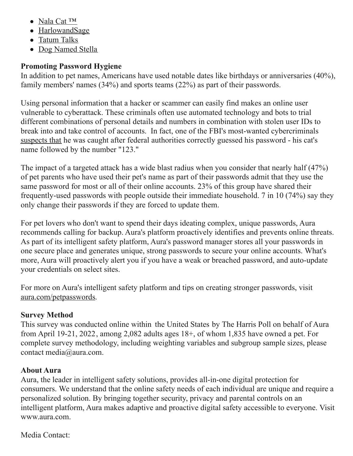- [Nala](https://c212.net/c/link/?t=0&l=en&o=3526292-1&h=1093031562&u=https%3A%2F%2Fwww.instagram.com%2Fnala_cat%2F&a=Nala+Cat+%E2%84%A2) Cat ™
- [HarlowandSage](https://c212.net/c/link/?t=0&l=en&o=3526292-1&h=1317780354&u=https%3A%2F%2Fwww.instagram.com%2Fharlowandsage%2F&a=HarlowandSage)
- [Tatum](https://c212.net/c/link/?t=0&l=en&o=3526292-1&h=3409670421&u=https%3A%2F%2Fwww.tiktok.com%2F%40hi.this.is.tatum%3Flang%3Den&a=Tatum+Talks) Talks
- Dog [Named](https://c212.net/c/link/?t=0&l=en&o=3526292-1&h=3212697581&u=https%3A%2F%2Fwww.tiktok.com%2F%40dognamedstella&a=Dog+Named+Stella) Stella

### **Promoting Password Hygiene**

In addition to pet names, Americans have used notable dates like birthdays or anniversaries (40%), family members' names (34%) and sports teams (22%) as part of their passwords.

Using personal information that a hacker or scammer can easily find makes an online user vulnerable to cyberattack. These criminals often use automated technology and bots to trial different combinations of personal details and numbers in combination with stolen user IDs to break into and take control of accounts. In fact, one of the FBI's most-wanted cybercriminals [suspects](https://c212.net/c/link/?t=0&l=en&o=3526292-1&h=1449559929&u=https%3A%2F%2Fabcnews.go.com%2FTechnology%2Ffbi-wanted-hacker-jeremy-hammond-cats-password%2Fstory%3Fid%3D26884738&a=suspects+that) that he was caught after federal authorities correctly guessed his password - his cat's name followed by the number "123."

The impact of a targeted attack has a wide blast radius when you consider that nearly half (47%) of pet parents who have used their pet's name as part of their passwords admit that they use the same password for most or all of their online accounts. 23% of this group have shared their frequently-used passwords with people outside their immediate household. 7 in 10 (74%) say they only change their passwords if they are forced to update them.

For pet lovers who don't want to spend their days ideating complex, unique passwords, Aura recommends calling for backup. Aura's platform proactively identifies and prevents online threats. As part of its intelligent safety platform, Aura's password manager stores all your passwords in one secure place and generates unique, strong passwords to secure your online accounts. What's more, Aura will proactively alert you if you have a weak or breached password, and auto-update your credentials on select sites.

For more on Aura's intelligent safety platform and tips on creating stronger passwords, visit [aura.com/petpasswords](https://c212.net/c/link/?t=0&l=en&o=3526292-1&h=2337138762&u=http%3A%2F%2Faura.com%2Fpetpasswords&a=aura.com%2Fpetpasswords).

#### **Survey Method**

This survey was conducted online within the United States by The Harris Poll on behalf of Aura from April 19-21, 2022, among 2,082 adults ages 18+, of whom 1,835 have owned a pet. For complete survey methodology, including weighting variables and subgroup sample sizes, please contact [media@aura.com](mailto:media@aura.com).

## **About Aura**

Aura, the leader in intelligent safety solutions, provides all-in-one digital protection for consumers. We understand that the online safety needs of each individual are unique and require a personalized solution. By bringing together security, privacy and parental controls on an intelligent platform, Aura makes adaptive and proactive digital safety accessible to everyone. Visit [www.aura.com.](https://c212.net/c/link/?t=0&l=en&o=3526292-1&h=1767145013&u=https%3A%2F%2Fwww.aura.com%2F&a=www.aura.com)

Media Contact: